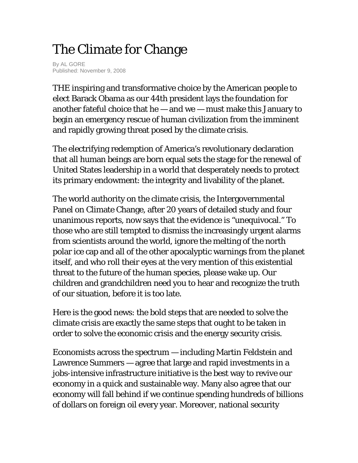## The Climate for Change

By AL GORE Published: November 9, 2008

THE inspiring and transformative choice by the American people to elect Barack Obama as our 44th president lays the foundation for another fateful choice that he  $-$  and we  $-$  must make this January to begin an emergency rescue of human civilization from the imminent and rapidly growing threat posed by the climate crisis.

The electrifying redemption of America's revolutionary declaration that all human beings are born equal sets the stage for the renewal of United States leadership in a world that desperately needs to protect its primary endowment: the integrity and livability of the planet.

The world authority on the climate crisis, the Intergovernmental Panel on Climate Change, after 20 years of detailed study and four unanimous reports, now says that the evidence is "unequivocal." To those who are still tempted to dismiss the increasingly urgent alarms from scientists around the world, ignore the melting of the north polar ice cap and all of the other apocalyptic warnings from the planet itself, and who roll their eyes at the very mention of this existential threat to the future of the human species, please wake up. Our children and grandchildren need you to hear and recognize the truth of our situation, before it is too late.

Here is the good news: the bold steps that are needed to solve the climate crisis are exactly the same steps that ought to be taken in order to solve the economic crisis and the energy security crisis.

Economists across the spectrum — including Martin Feldstein and Lawrence Summers — agree that large and rapid investments in a jobs-intensive infrastructure initiative is the best way to revive our economy in a quick and sustainable way. Many also agree that our economy will fall behind if we continue spending hundreds of billions of dollars on foreign oil every year. Moreover, national security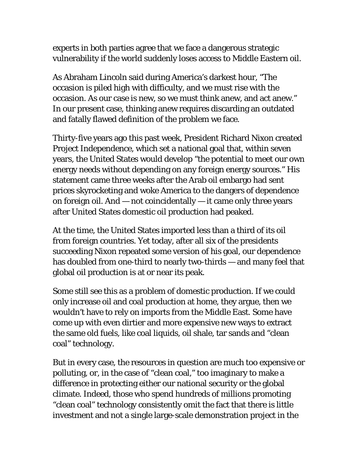experts in both parties agree that we face a dangerous strategic vulnerability if the world suddenly loses access to Middle Eastern oil.

As Abraham Lincoln said during America's darkest hour, "The occasion is piled high with difficulty, and we must rise with the occasion. As our case is new, so we must think anew, and act anew." In our present case, thinking anew requires discarding an outdated and fatally flawed definition of the problem we face.

Thirty-five years ago this past week, President Richard Nixon created Project Independence, which set a national goal that, within seven years, the United States would develop "the potential to meet our own energy needs without depending on any foreign energy sources." His statement came three weeks after the Arab oil embargo had sent prices skyrocketing and woke America to the dangers of dependence on foreign oil. And — not coincidentally — it came only three years after United States domestic oil production had peaked.

At the time, the United States imported less than a third of its oil from foreign countries. Yet today, after all six of the presidents succeeding Nixon repeated some version of his goal, our dependence has doubled from one-third to nearly two-thirds — and many feel that global oil production is at or near its peak.

Some still see this as a problem of domestic production. If we could only increase oil and coal production at home, they argue, then we wouldn't have to rely on imports from the Middle East. Some have come up with even dirtier and more expensive new ways to extract the same old fuels, like coal liquids, oil shale, tar sands and "clean coal" technology.

But in every case, the resources in question are much too expensive or polluting, or, in the case of "clean coal," too imaginary to make a difference in protecting either our national security or the global climate. Indeed, those who spend hundreds of millions promoting "clean coal" technology consistently omit the fact that there is little investment and not a single large-scale demonstration project in the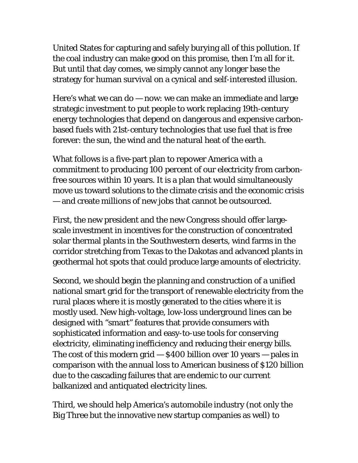United States for capturing and safely burying all of this pollution. If the coal industry can make good on this promise, then I'm all for it. But until that day comes, we simply cannot any longer base the strategy for human survival on a cynical and self-interested illusion.

Here's what we can do — now: we can make an immediate and large strategic investment to put people to work replacing 19th-century energy technologies that depend on dangerous and expensive carbonbased fuels with 21st-century technologies that use fuel that is free forever: the sun, the wind and the natural heat of the earth.

What follows is a five-part plan to repower America with a commitment to producing 100 percent of our electricity from carbonfree sources within 10 years. It is a plan that would simultaneously move us toward solutions to the climate crisis and the economic crisis — and create millions of new jobs that cannot be outsourced.

First, the new president and the new Congress should offer largescale investment in incentives for the construction of concentrated solar thermal plants in the Southwestern deserts, wind farms in the corridor stretching from Texas to the Dakotas and advanced plants in geothermal hot spots that could produce large amounts of electricity.

Second, we should begin the planning and construction of a unified national smart grid for the transport of renewable electricity from the rural places where it is mostly generated to the cities where it is mostly used. New high-voltage, low-loss underground lines can be designed with "smart" features that provide consumers with sophisticated information and easy-to-use tools for conserving electricity, eliminating inefficiency and reducing their energy bills. The cost of this modern grid  $-$  \$400 billion over 10 years  $-$  pales in comparison with the annual loss to American business of \$120 billion due to the cascading failures that are endemic to our current balkanized and antiquated electricity lines.

Third, we should help America's automobile industry (not only the Big Three but the innovative new startup companies as well) to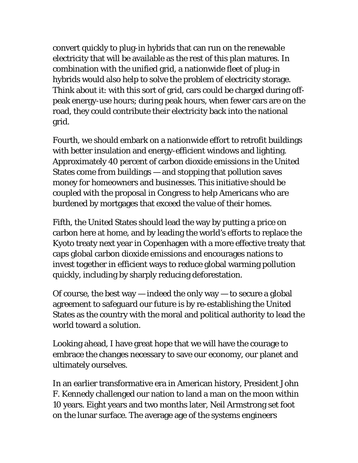convert quickly to plug-in hybrids that can run on the renewable electricity that will be available as the rest of this plan matures. In combination with the unified grid, a nationwide fleet of plug-in hybrids would also help to solve the problem of electricity storage. Think about it: with this sort of grid, cars could be charged during offpeak energy-use hours; during peak hours, when fewer cars are on the road, they could contribute their electricity back into the national grid.

Fourth, we should embark on a nationwide effort to retrofit buildings with better insulation and energy-efficient windows and lighting. Approximately 40 percent of carbon dioxide emissions in the United States come from buildings — and stopping that pollution saves money for homeowners and businesses. This initiative should be coupled with the proposal in Congress to help Americans who are burdened by mortgages that exceed the value of their homes.

Fifth, the United States should lead the way by putting a price on carbon here at home, and by leading the world's efforts to replace the Kyoto treaty next year in Copenhagen with a more effective treaty that caps global carbon dioxide emissions and encourages nations to invest together in efficient ways to reduce global warming pollution quickly, including by sharply reducing deforestation.

Of course, the best way  $-$  indeed the only way  $-$  to secure a global agreement to safeguard our future is by re-establishing the United States as the country with the moral and political authority to lead the world toward a solution.

Looking ahead, I have great hope that we will have the courage to embrace the changes necessary to save our economy, our planet and ultimately ourselves.

In an earlier transformative era in American history, President John F. Kennedy challenged our nation to land a man on the moon within 10 years. Eight years and two months later, Neil Armstrong set foot on the lunar surface. The average age of the systems engineers